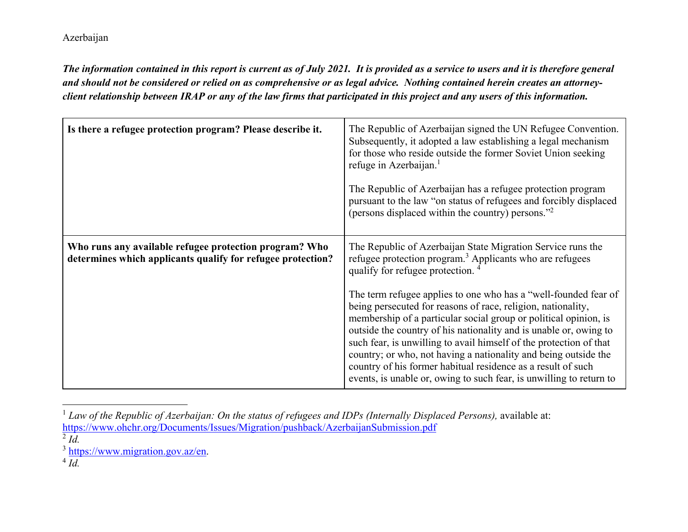*The information contained in this report is current as of July 2021. It is provided as a service to users and it is therefore general and should not be considered or relied on as comprehensive or as legal advice. Nothing contained herein creates an attorneyclient relationship between IRAP or any of the law firms that participated in this project and any users of this information.* 

| Is there a refugee protection program? Please describe it.                                                            | The Republic of Azerbaijan signed the UN Refugee Convention.<br>Subsequently, it adopted a law establishing a legal mechanism<br>for those who reside outside the former Soviet Union seeking<br>refuge in Azerbaijan. <sup>1</sup><br>The Republic of Azerbaijan has a refugee protection program<br>pursuant to the law "on status of refugees and forcibly displaced<br>(persons displaced within the country) persons." <sup>2</sup>                                                                                                                                                                                                                                                                                                        |
|-----------------------------------------------------------------------------------------------------------------------|-------------------------------------------------------------------------------------------------------------------------------------------------------------------------------------------------------------------------------------------------------------------------------------------------------------------------------------------------------------------------------------------------------------------------------------------------------------------------------------------------------------------------------------------------------------------------------------------------------------------------------------------------------------------------------------------------------------------------------------------------|
| Who runs any available refugee protection program? Who<br>determines which applicants qualify for refugee protection? | The Republic of Azerbaijan State Migration Service runs the<br>refugee protection program. <sup>3</sup> Applicants who are refugees<br>qualify for refugee protection. <sup>4</sup><br>The term refugee applies to one who has a "well-founded fear of<br>being persecuted for reasons of race, religion, nationality,<br>membership of a particular social group or political opinion, is<br>outside the country of his nationality and is unable or, owing to<br>such fear, is unwilling to avail himself of the protection of that<br>country; or who, not having a nationality and being outside the<br>country of his former habitual residence as a result of such<br>events, is unable or, owing to such fear, is unwilling to return to |

<sup>&</sup>lt;sup>1</sup> Law of the Republic of Azerbaijan: On the status of refugees and IDPs (Internally Displaced Persons), available at: https://www.ohchr.org/Documents/Issues/Migration/pushback/AzerbaijanSubmission.pdf

 $\overline{Id}$ .

<sup>2</sup> *Id.*

 $\frac{3}{4}$  https://www.migration.gov.az/en.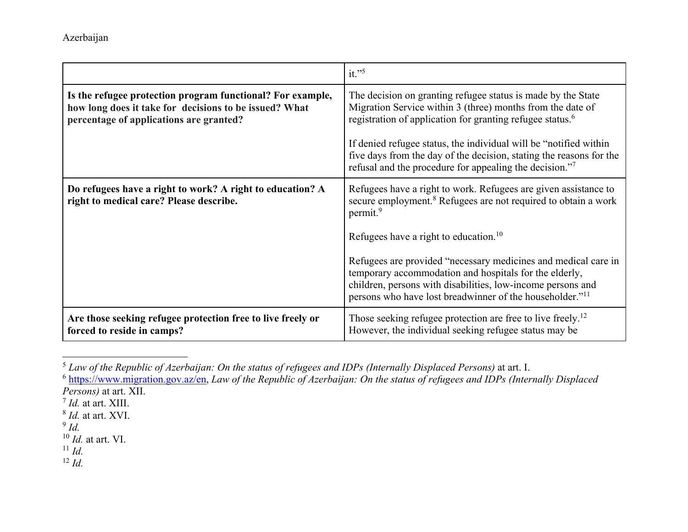|                                                                                                                                                                 | it." $5$                                                                                                                                                                                                                                                        |
|-----------------------------------------------------------------------------------------------------------------------------------------------------------------|-----------------------------------------------------------------------------------------------------------------------------------------------------------------------------------------------------------------------------------------------------------------|
| Is the refugee protection program functional? For example,<br>how long does it take for decisions to be issued? What<br>percentage of applications are granted? | The decision on granting refugee status is made by the State<br>Migration Service within 3 (three) months from the date of<br>registration of application for granting refugee status. <sup>6</sup>                                                             |
|                                                                                                                                                                 | If denied refugee status, the individual will be "notified within"<br>five days from the day of the decision, stating the reasons for the<br>refusal and the procedure for appealing the decision." <sup>7</sup>                                                |
| Do refugees have a right to work? A right to education? A<br>right to medical care? Please describe.                                                            | Refugees have a right to work. Refugees are given assistance to<br>secure employment. <sup>8</sup> Refugees are not required to obtain a work<br>permit. <sup>9</sup>                                                                                           |
|                                                                                                                                                                 | Refugees have a right to education. <sup>10</sup>                                                                                                                                                                                                               |
|                                                                                                                                                                 | Refugees are provided "necessary medicines and medical care in<br>temporary accommodation and hospitals for the elderly,<br>children, persons with disabilities, low-income persons and<br>persons who have lost breadwinner of the householder." <sup>11</sup> |
| Are those seeking refugee protection free to live freely or<br>forced to reside in camps?                                                                       | Those seeking refugee protection are free to live freely. <sup>12</sup><br>However, the individual seeking refugee status may be                                                                                                                                |

<sup>&</sup>lt;sup>5</sup> Law of the Republic of Azerbaijan: On the status of refugees and IDPs (Internally Displaced Persons) at art. I.<br>6 https://www.microtion.cov.gr/cn. Law of the Perublic of Azerbaijan: On the status of refugees and IDPs (

 https://www.migration.gov.az/en, *Law of the Republic of Azerbaijan: On the status of refugees and IDPs (Internally Displaced Persons*) at art. XII.

- $I/d$ . at art. XIII.
- $<sup>8</sup>$  *Id.* at art. XVI.</sup>
- *Id.*

10 *Id.* at art. VI.

11 *Id.*

12 *Id.*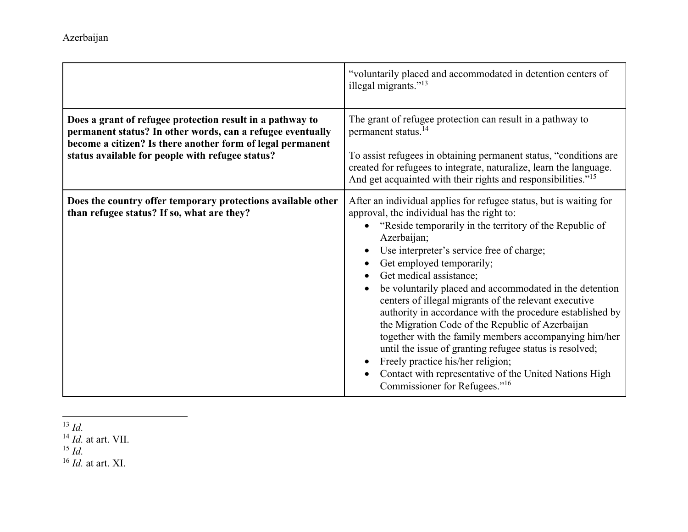|                                                                                                                                                                                                                                           | "voluntarily placed and accommodated in detention centers of<br>illegal migrants." <sup>13</sup>                                                                                                                                                                                                                                                                                                                                                                                                                                                                                                                                                                                                                                                                                                     |
|-------------------------------------------------------------------------------------------------------------------------------------------------------------------------------------------------------------------------------------------|------------------------------------------------------------------------------------------------------------------------------------------------------------------------------------------------------------------------------------------------------------------------------------------------------------------------------------------------------------------------------------------------------------------------------------------------------------------------------------------------------------------------------------------------------------------------------------------------------------------------------------------------------------------------------------------------------------------------------------------------------------------------------------------------------|
| Does a grant of refugee protection result in a pathway to<br>permanent status? In other words, can a refugee eventually<br>become a citizen? Is there another form of legal permanent<br>status available for people with refugee status? | The grant of refugee protection can result in a pathway to<br>permanent status. <sup>14</sup><br>To assist refugees in obtaining permanent status, "conditions are<br>created for refugees to integrate, naturalize, learn the language.<br>And get acquainted with their rights and responsibilities." <sup>15</sup>                                                                                                                                                                                                                                                                                                                                                                                                                                                                                |
| Does the country offer temporary protections available other<br>than refugee status? If so, what are they?                                                                                                                                | After an individual applies for refugee status, but is waiting for<br>approval, the individual has the right to:<br>"Reside temporarily in the territory of the Republic of<br>Azerbaijan;<br>Use interpreter's service free of charge;<br>Get employed temporarily;<br>Get medical assistance;<br>be voluntarily placed and accommodated in the detention<br>centers of illegal migrants of the relevant executive<br>authority in accordance with the procedure established by<br>the Migration Code of the Republic of Azerbaijan<br>together with the family members accompanying him/her<br>until the issue of granting refugee status is resolved;<br>Freely practice his/her religion;<br>Contact with representative of the United Nations High<br>Commissioner for Refugees." <sup>16</sup> |

<sup>13</sup> *Id.*<br><sup>14</sup> *Id.* at art. VII.<br><sup>15</sup> *Id.* at art. XI.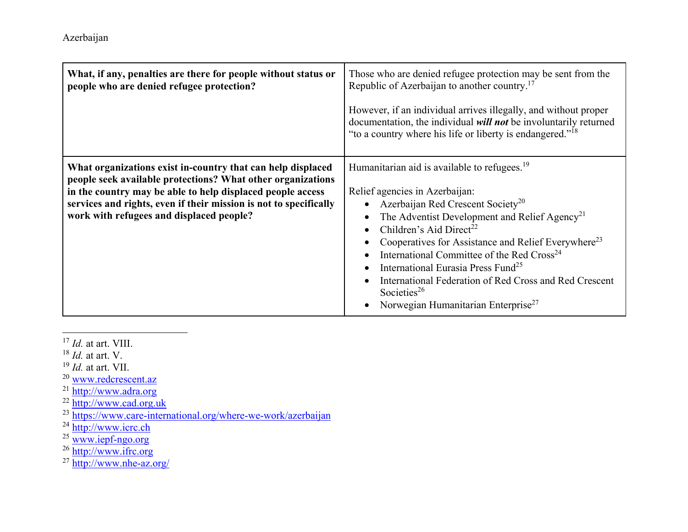| What, if any, penalties are there for people without status or<br>people who are denied refugee protection?                                                                                                                                                                                               | Those who are denied refugee protection may be sent from the<br>Republic of Azerbaijan to another country. <sup>17</sup><br>However, if an individual arrives illegally, and without proper<br>documentation, the individual will not be involuntarily returned<br>"to a country where his life or liberty is endangered." <sup>18</sup>                                                                                                                                                                                                                               |
|-----------------------------------------------------------------------------------------------------------------------------------------------------------------------------------------------------------------------------------------------------------------------------------------------------------|------------------------------------------------------------------------------------------------------------------------------------------------------------------------------------------------------------------------------------------------------------------------------------------------------------------------------------------------------------------------------------------------------------------------------------------------------------------------------------------------------------------------------------------------------------------------|
| What organizations exist in-country that can help displaced<br>people seek available protections? What other organizations<br>in the country may be able to help displaced people access<br>services and rights, even if their mission is not to specifically<br>work with refugees and displaced people? | Humanitarian aid is available to refugees. <sup>19</sup><br>Relief agencies in Azerbaijan:<br>Azerbaijan Red Crescent Society <sup>20</sup><br>The Adventist Development and Relief Agency <sup>21</sup><br>Children's Aid Direct <sup>22</sup><br>Cooperatives for Assistance and Relief Everywhere <sup>23</sup><br>International Committee of the Red Cross <sup>24</sup><br>International Eurasia Press Fund <sup>25</sup><br>International Federation of Red Cross and Red Crescent<br>Societies <sup>26</sup><br>Norwegian Humanitarian Enterprise <sup>27</sup> |

- 17 *Id.* at art. VIII.
- 
- 18 *Id.* at art. V. 19 *Id.* at art. VII.
- 
- 
- 
- <sup>20</sup> www.redcrescent.az<br>
<sup>21</sup> http://www.adra.org<br>
<sup>22</sup> https://www.cad.org.uk<br>
<sup>23</sup> https://www.icrc.ch<br>
<sup>24</sup> http://www.icrc.ch<br>
<sup>25</sup> www.iepf-ngo.org<br>
<sup>26</sup> http://www.ifrc.org<br>
<sup>27</sup> http://www.nhe-az.org/
- 
- 
- 
-